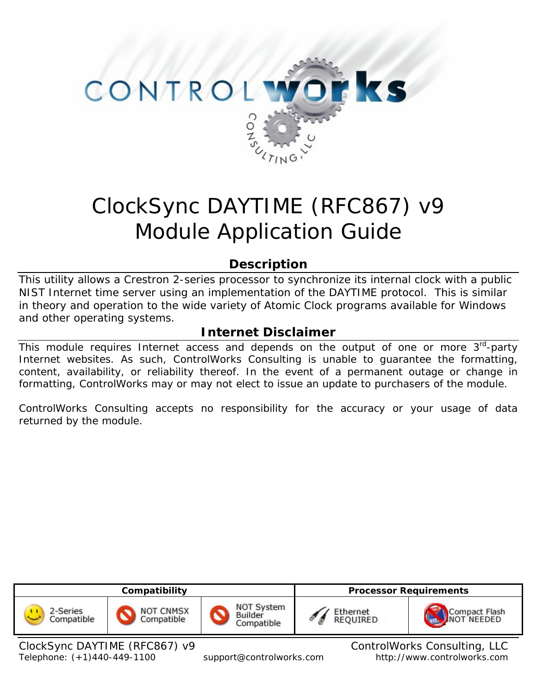

# ClockSync DAYTIME (RFC867) v9 Module Application Guide

# **Description**

This utility allows a Crestron 2-series processor to synchronize its internal clock with a public NIST Internet time server using an implementation of the DAYTIME protocol. This is similar in theory and operation to the wide variety of Atomic Clock programs available for Windows and other operating systems.

# **Internet Disclaimer**

This module requires Internet access and depends on the output of one or more  $3<sup>rd</sup>$ -party Internet websites. As such, ControlWorks Consulting is unable to guarantee the formatting, content, availability, or reliability thereof. In the event of a permanent outage or change in formatting, ControlWorks may or may not elect to issue an update to purchasers of the module.

ControlWorks Consulting accepts no responsibility for the accuracy or your usage of data returned by the module.



Telephone: (+1)440-449-1100 support@controlworks.com http://www.controlworks.com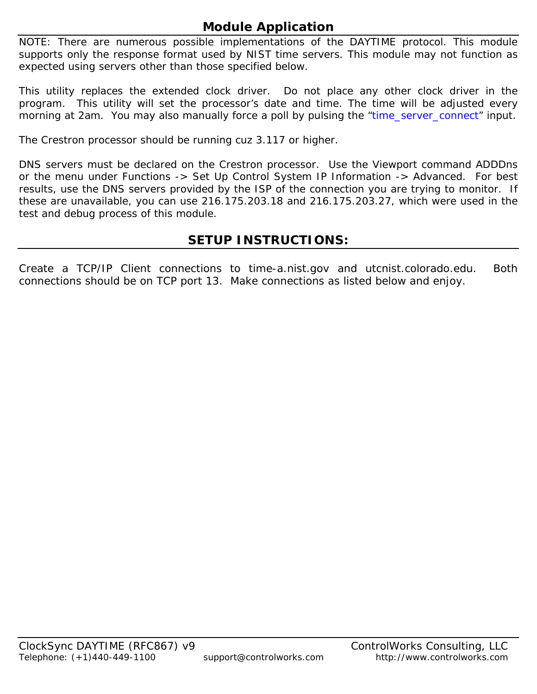# **Module Application**

NOTE: There are numerous possible implementations of the DAYTIME protocol. This module supports *only* the response format used by NIST time servers. This module may not function as expected using servers other than those specified below.

This utility replaces the extended clock driver. Do not place any other clock driver in the program. This utility will set the processor's date and time. The time will be adjusted every morning at 2am. You may also manually force a poll by pulsing the "time\_server\_connect" input.

The Crestron processor should be running cuz 3.117 or higher.

DNS servers must be declared on the Crestron processor. Use the Viewport command ADDDns or the menu under Functions -> Set Up Control System IP Information -> Advanced. For best results, use the DNS servers provided by the ISP of the connection you are trying to monitor. If these are unavailable, you can use 216.175.203.18 and 216.175.203.27, which were used in the test and debug process of this module.

# **SETUP INSTRUCTIONS:**

Create a TCP/IP Client connections to time-a.nist.gov and utcnist.colorado.edu. Both connections should be on TCP port 13. Make connections as listed below and enjoy.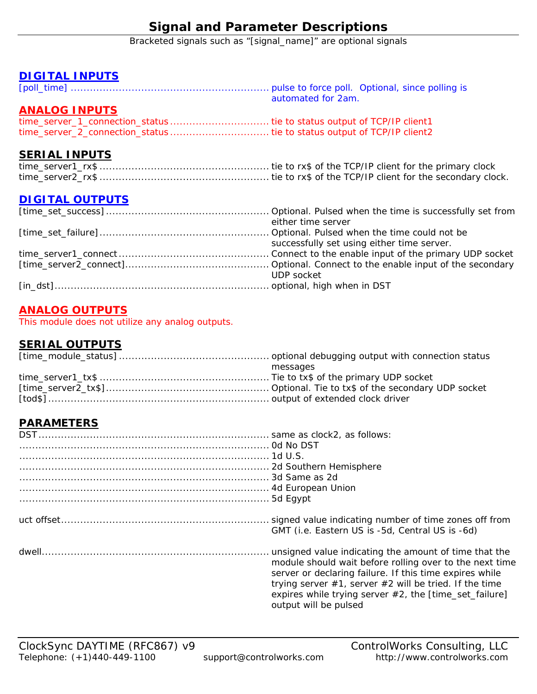# **Signal and Parameter Descriptions**

Bracketed signals such as "[signal\_name]" are optional signals

### **DIGITAL INPUTS**

[poll\_time] .............................................................. pulse to force poll. Optional, since polling is automated for 2am.

## **ANALOG INPUTS**

|  | time_server_1_connection_status  tie to status output of TCP/IP client1 |  |  |  |
|--|-------------------------------------------------------------------------|--|--|--|
|  | time_server_2_connection_status  tie to status output of TCP/IP client2 |  |  |  |

## **SERIAL INPUTS**

## **DIGITAL OUTPUTS**

| either time server                         |
|--------------------------------------------|
|                                            |
| successfully set using either time server. |
|                                            |
|                                            |
| UDP socket                                 |
|                                            |

## **ANALOG OUTPUTS**

This module does not utilize any analog outputs.

## **SERIAL OUTPUTS**

| messages |
|----------|
|          |
|          |
|          |

## **PARAMETERS**

| GMT (i.e. Eastern US is -5d, Central US is -6d)                                                                                                                                                                                                                                                                                  |
|----------------------------------------------------------------------------------------------------------------------------------------------------------------------------------------------------------------------------------------------------------------------------------------------------------------------------------|
| unsigned value indicating the amount of time that the<br>module should wait before rolling over to the next time<br>server or declaring failure. If this time expires while<br>trying server $#1$ , server $#2$ will be tried. If the time<br>expires while trying server $#2$ , the [time_set_failure]<br>output will be pulsed |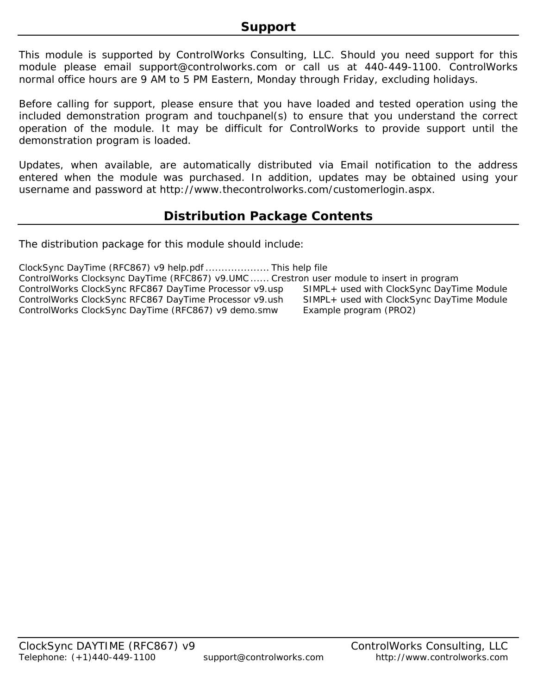This module is supported by ControlWorks Consulting, LLC. Should you need support for this module please email support@controlworks.com or call us at 440-449-1100. ControlWorks normal office hours are 9 AM to 5 PM Eastern, Monday through Friday, excluding holidays.

Before calling for support, please ensure that you have loaded and tested operation using the included demonstration program and touchpanel(s) to ensure that you understand the correct operation of the module. It may be difficult for ControlWorks to provide support until the demonstration program is loaded.

Updates, when available, are automatically distributed via Email notification to the address entered when the module was purchased. In addition, updates may be obtained using your username and password at http://www.thecontrolworks.com/customerlogin.aspx.

# **Distribution Package Contents**

The distribution package for this module should include:

ClockSync DayTime (RFC867) v9 help.pdf .................... This help file ControlWorks Clocksync DayTime (RFC867) v9.UMC ...... Crestron user module to insert in program ControlWorks ClockSync RFC867 DayTime Processor v9.usp SIMPL+ used with ClockSync DayTime Module ControlWorks ClockSync RFC867 DayTime Processor v9.ush SIMPL+ used with ClockSync DayTime Module ControlWorks ClockSync DayTime (RFC867) v9 demo.smw Example program (PRO2)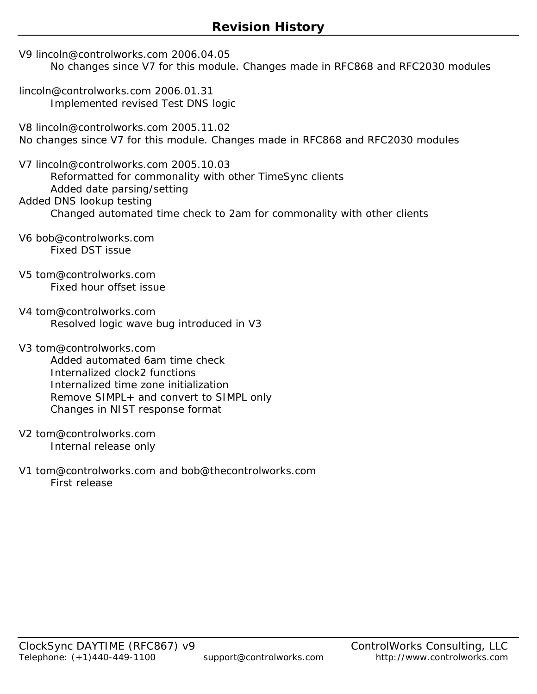- V9 lincoln@controlworks.com 2006.04.05 No changes since V7 for this module. Changes made in RFC868 and RFC2030 modules
- lincoln@controlworks.com 2006.01.31 Implemented revised Test DNS logic
- V8 lincoln@controlworks.com 2005.11.02 No changes since V7 for this module. Changes made in RFC868 and RFC2030 modules
- V7 lincoln@controlworks.com 2005.10.03 Reformatted for commonality with other TimeSync clients Added date parsing/setting Added DNS lookup testing Changed automated time check to 2am for commonality with other clients
- V6 bob@controlworks.com Fixed DST issue
- V5 tom@controlworks.com Fixed hour offset issue
- V4 tom@controlworks.com Resolved logic wave bug introduced in V3
- V3 tom@controlworks.com Added automated 6am time check Internalized clock2 functions Internalized time zone initialization Remove SIMPL+ and convert to SIMPL only Changes in NIST response format
- V2 tom@controlworks.com Internal release only
- V1 tom@controlworks.com and bob@thecontrolworks.com First release